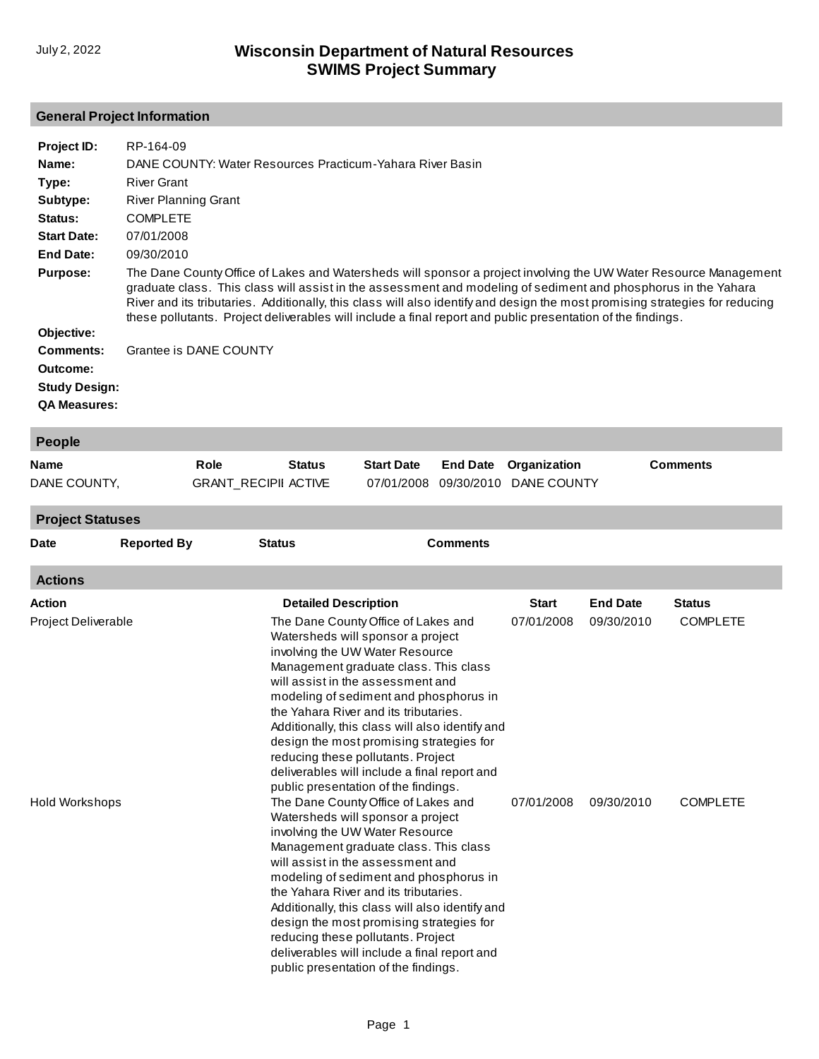## **General Project Information**

| Project ID:<br>Name:<br>Type:<br>Subtype:<br>Status:<br><b>Start Date:</b><br>End Date: | RP-164-09<br>DANE COUNTY: Water Resources Practicum-Yahara River Basin<br><b>River Grant</b><br><b>River Planning Grant</b><br><b>COMPLETE</b><br>07/01/2008<br>09/30/2010                                                                                                                                                                                                                                                                                                        |
|-----------------------------------------------------------------------------------------|-----------------------------------------------------------------------------------------------------------------------------------------------------------------------------------------------------------------------------------------------------------------------------------------------------------------------------------------------------------------------------------------------------------------------------------------------------------------------------------|
| <b>Purpose:</b><br>Objective:                                                           | The Dane County Office of Lakes and Watersheds will sponsor a project involving the UW Water Resource Management<br>graduate class. This class will assist in the assessment and modeling of sediment and phosphorus in the Yahara<br>River and its tributaries. Additionally, this class will also identify and design the most promising strategies for reducing<br>these pollutants. Project deliverables will include a final report and public presentation of the findings. |
| Comments:<br>Outcome:<br><b>Study Design:</b><br><b>QA Measures:</b>                    | Grantee is DANE COUNTY                                                                                                                                                                                                                                                                                                                                                                                                                                                            |

| People       |                             |               |                   |                                   |                 |
|--------------|-----------------------------|---------------|-------------------|-----------------------------------|-----------------|
| Name         | Role                        | <b>Status</b> | <b>Start Date</b> | <b>End Date</b> Organization      | <b>Comments</b> |
| DANE COUNTY, | <b>GRANT RECIPII ACTIVE</b> |               |                   | 07/01/2008 09/30/2010 DANE COUNTY |                 |

| <b>Project Statuses</b> |                    |                                                                                                                                                                                                                                                                                                                                                                                                                                                                                                           |                 |                 |                 |
|-------------------------|--------------------|-----------------------------------------------------------------------------------------------------------------------------------------------------------------------------------------------------------------------------------------------------------------------------------------------------------------------------------------------------------------------------------------------------------------------------------------------------------------------------------------------------------|-----------------|-----------------|-----------------|
| <b>Date</b>             | <b>Reported By</b> | <b>Status</b>                                                                                                                                                                                                                                                                                                                                                                                                                                                                                             | <b>Comments</b> |                 |                 |
| <b>Actions</b>          |                    |                                                                                                                                                                                                                                                                                                                                                                                                                                                                                                           |                 |                 |                 |
| Action                  |                    | <b>Detailed Description</b>                                                                                                                                                                                                                                                                                                                                                                                                                                                                               | <b>Start</b>    | <b>End Date</b> | <b>Status</b>   |
| Project Deliverable     |                    | The Dane County Office of Lakes and<br>Watersheds will sponsor a project<br>involving the UW Water Resource<br>Management graduate class. This class<br>will assist in the assessment and<br>modeling of sediment and phosphorus in<br>the Yahara River and its tributaries.<br>Additionally, this class will also identify and<br>design the most promising strategies for<br>reducing these pollutants. Project<br>deliverables will include a final report and<br>public presentation of the findings. | 07/01/2008      | 09/30/2010      | <b>COMPLETE</b> |
| <b>Hold Workshops</b>   |                    | The Dane County Office of Lakes and<br>Watersheds will sponsor a project<br>involving the UW Water Resource<br>Management graduate class. This class<br>will assist in the assessment and<br>modeling of sediment and phosphorus in<br>the Yahara River and its tributaries.<br>Additionally, this class will also identify and<br>design the most promising strategies for<br>reducing these pollutants. Project<br>deliverables will include a final report and                                         | 07/01/2008      | 09/30/2010      | <b>COMPLETE</b> |

public presentation of the findings.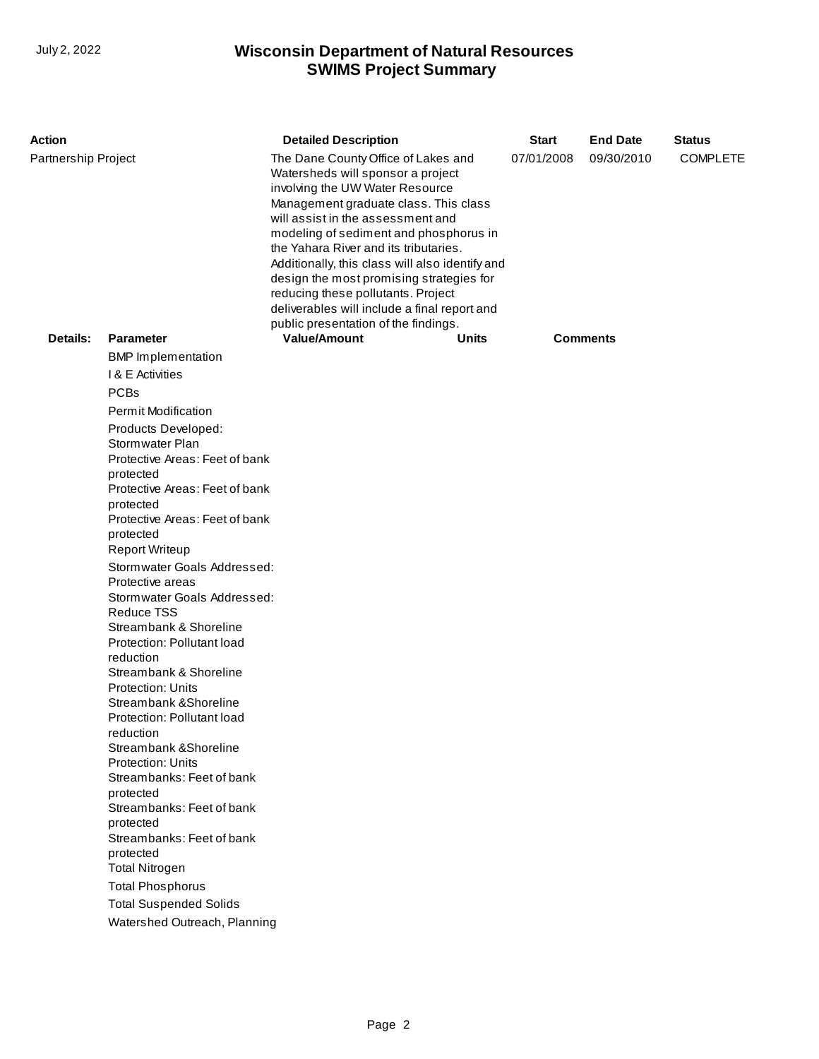## **SWIMS Project Summary** July 2, 2022 **Wisconsin Department of Natural Resources**

| Action              |                                                                                                                                                                                                                                                                                                                                                                                                                                                                                                                                                                                                                                                                                                                                                                                                                              | <b>Detailed Description</b>                                                                                                                                                                                                                                                                                                                                                                                                                                                                               | <b>Start</b> | <b>End Date</b> | <b>Status</b>   |  |
|---------------------|------------------------------------------------------------------------------------------------------------------------------------------------------------------------------------------------------------------------------------------------------------------------------------------------------------------------------------------------------------------------------------------------------------------------------------------------------------------------------------------------------------------------------------------------------------------------------------------------------------------------------------------------------------------------------------------------------------------------------------------------------------------------------------------------------------------------------|-----------------------------------------------------------------------------------------------------------------------------------------------------------------------------------------------------------------------------------------------------------------------------------------------------------------------------------------------------------------------------------------------------------------------------------------------------------------------------------------------------------|--------------|-----------------|-----------------|--|
| Partnership Project |                                                                                                                                                                                                                                                                                                                                                                                                                                                                                                                                                                                                                                                                                                                                                                                                                              | The Dane County Office of Lakes and<br>Watersheds will sponsor a project<br>involving the UW Water Resource<br>Management graduate class. This class<br>will assist in the assessment and<br>modeling of sediment and phosphorus in<br>the Yahara River and its tributaries.<br>Additionally, this class will also identify and<br>design the most promising strategies for<br>reducing these pollutants. Project<br>deliverables will include a final report and<br>public presentation of the findings. | 07/01/2008   | 09/30/2010      | <b>COMPLETE</b> |  |
| Details:            | <b>Parameter</b>                                                                                                                                                                                                                                                                                                                                                                                                                                                                                                                                                                                                                                                                                                                                                                                                             | <b>Value/Amount</b>                                                                                                                                                                                                                                                                                                                                                                                                                                                                                       | Units        |                 | Comments        |  |
|                     | <b>BMP</b> Implementation                                                                                                                                                                                                                                                                                                                                                                                                                                                                                                                                                                                                                                                                                                                                                                                                    |                                                                                                                                                                                                                                                                                                                                                                                                                                                                                                           |              |                 |                 |  |
|                     | <b>1&amp; E Activities</b>                                                                                                                                                                                                                                                                                                                                                                                                                                                                                                                                                                                                                                                                                                                                                                                                   |                                                                                                                                                                                                                                                                                                                                                                                                                                                                                                           |              |                 |                 |  |
|                     | <b>PCBs</b>                                                                                                                                                                                                                                                                                                                                                                                                                                                                                                                                                                                                                                                                                                                                                                                                                  |                                                                                                                                                                                                                                                                                                                                                                                                                                                                                                           |              |                 |                 |  |
|                     | <b>Permit Modification</b>                                                                                                                                                                                                                                                                                                                                                                                                                                                                                                                                                                                                                                                                                                                                                                                                   |                                                                                                                                                                                                                                                                                                                                                                                                                                                                                                           |              |                 |                 |  |
|                     | Products Developed:<br>Stormwater Plan<br>Protective Areas: Feet of bank<br>protected<br>Protective Areas: Feet of bank<br>protected<br>Protective Areas: Feet of bank<br>protected<br><b>Report Writeup</b><br>Stormwater Goals Addressed:<br>Protective areas<br>Stormwater Goals Addressed:<br><b>Reduce TSS</b><br>Streambank & Shoreline<br>Protection: Pollutant load<br>reduction<br>Streambank & Shoreline<br><b>Protection: Units</b><br>Streambank & Shoreline<br>Protection: Pollutant load<br>reduction<br>Streambank & Shoreline<br><b>Protection: Units</b><br>Streambanks: Feet of bank<br>protected<br>Streambanks: Feet of bank<br>protected<br>Streambanks: Feet of bank<br>protected<br><b>Total Nitrogen</b><br><b>Total Phosphorus</b><br><b>Total Suspended Solids</b><br>Watershed Outreach, Planning |                                                                                                                                                                                                                                                                                                                                                                                                                                                                                                           |              |                 |                 |  |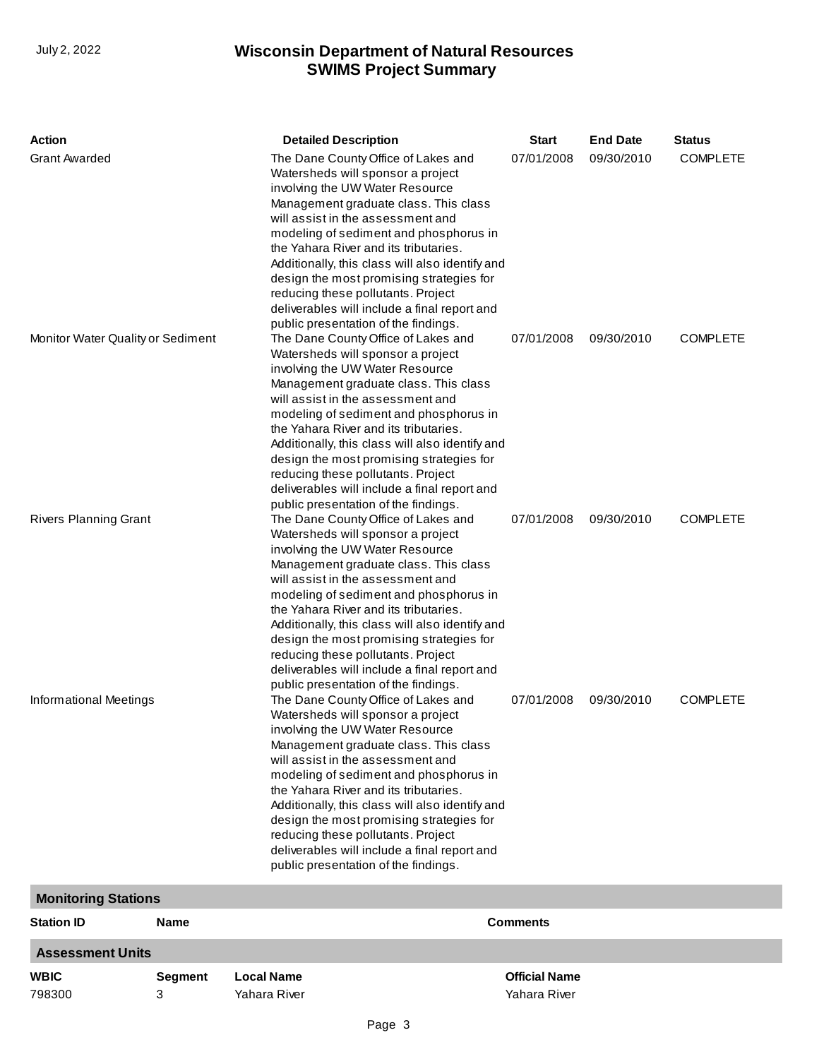## **SWIMS Project Summary** July 2, 2022 **Wisconsin Department of Natural Resources**

| <b>Action</b>                     |             | <b>Detailed Description</b>                                                                                                                                                                                                                                                                                                                                                                                                                                                                               | <b>Start</b>    | <b>End Date</b> | <b>Status</b>   |
|-----------------------------------|-------------|-----------------------------------------------------------------------------------------------------------------------------------------------------------------------------------------------------------------------------------------------------------------------------------------------------------------------------------------------------------------------------------------------------------------------------------------------------------------------------------------------------------|-----------------|-----------------|-----------------|
| <b>Grant Awarded</b>              |             | The Dane County Office of Lakes and<br>Watersheds will sponsor a project<br>involving the UW Water Resource<br>Management graduate class. This class<br>will assist in the assessment and<br>modeling of sediment and phosphorus in<br>the Yahara River and its tributaries.<br>Additionally, this class will also identify and<br>design the most promising strategies for<br>reducing these pollutants. Project<br>deliverables will include a final report and<br>public presentation of the findings. | 07/01/2008      | 09/30/2010      | <b>COMPLETE</b> |
| Monitor Water Quality or Sediment |             | The Dane County Office of Lakes and<br>Watersheds will sponsor a project<br>involving the UW Water Resource<br>Management graduate class. This class<br>will assist in the assessment and<br>modeling of sediment and phosphorus in<br>the Yahara River and its tributaries.<br>Additionally, this class will also identify and<br>design the most promising strategies for<br>reducing these pollutants. Project<br>deliverables will include a final report and<br>public presentation of the findings. | 07/01/2008      | 09/30/2010      | <b>COMPLETE</b> |
| <b>Rivers Planning Grant</b>      |             | The Dane County Office of Lakes and<br>Watersheds will sponsor a project<br>involving the UW Water Resource<br>Management graduate class. This class<br>will assist in the assessment and<br>modeling of sediment and phosphorus in<br>the Yahara River and its tributaries.<br>Additionally, this class will also identify and<br>design the most promising strategies for<br>reducing these pollutants. Project<br>deliverables will include a final report and<br>public presentation of the findings. | 07/01/2008      | 09/30/2010      | <b>COMPLETE</b> |
| Informational Meetings            |             | The Dane County Office of Lakes and<br>Watersheds will sponsor a project<br>involving the UW Water Resource<br>Management graduate class. This class<br>will assist in the assessment and<br>modeling of sediment and phosphorus in<br>the Yahara River and its tributaries.<br>Additionally, this class will also identify and<br>design the most promising strategies for<br>reducing these pollutants. Project<br>deliverables will include a final report and<br>public presentation of the findings. | 07/01/2008      | 09/30/2010      | <b>COMPLETE</b> |
| <b>Monitoring Stations</b>        |             |                                                                                                                                                                                                                                                                                                                                                                                                                                                                                                           |                 |                 |                 |
| <b>Station ID</b>                 | <b>Name</b> |                                                                                                                                                                                                                                                                                                                                                                                                                                                                                                           | <b>Comments</b> |                 |                 |
| <b>Assessment Units</b>           |             |                                                                                                                                                                                                                                                                                                                                                                                                                                                                                                           |                 |                 |                 |